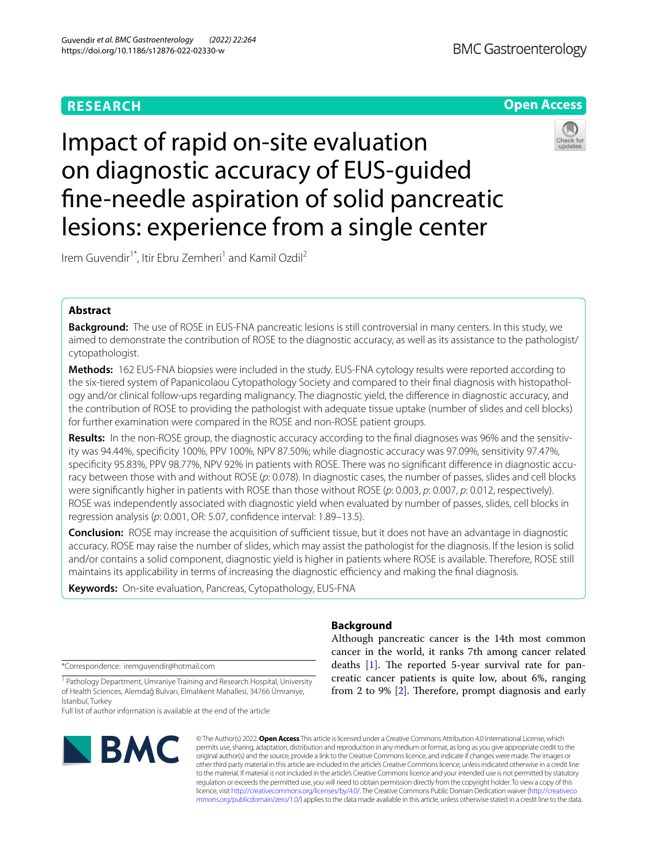## **RESEARCH**

# **BMC Gastroenterology**



# Impact of rapid on-site evaluation on diagnostic accuracy of EUS-guided fne-needle aspiration of solid pancreatic lesions: experience from a single center

Irem Guvendir<sup>1\*</sup>, Itir Ebru Zemheri<sup>1</sup> and Kamil Ozdil<sup>2</sup>

## **Abstract**

**Background:** The use of ROSE in EUS-FNA pancreatic lesions is still controversial in many centers. In this study, we aimed to demonstrate the contribution of ROSE to the diagnostic accuracy, as well as its assistance to the pathologist/ cytopathologist.

**Methods:** 162 EUS-FNA biopsies were included in the study. EUS-FNA cytology results were reported according to the six-tiered system of Papanicolaou Cytopathology Society and compared to their fnal diagnosis with histopathology and/or clinical follow-ups regarding malignancy. The diagnostic yield, the diference in diagnostic accuracy, and the contribution of ROSE to providing the pathologist with adequate tissue uptake (number of slides and cell blocks) for further examination were compared in the ROSE and non-ROSE patient groups.

**Results:** In the non-ROSE group, the diagnostic accuracy according to the fnal diagnoses was 96% and the sensitivity was 94.44%, specifcity 100%, PPV 100%, NPV 87.50%; while diagnostic accuracy was 97.09%, sensitivity 97.47%, specifcity 95.83%, PPV 98.77%, NPV 92% in patients with ROSE. There was no signifcant diference in diagnostic accuracy between those with and without ROSE (*p*: 0.078). In diagnostic cases, the number of passes, slides and cell blocks were signifcantly higher in patients with ROSE than those without ROSE (*p*: 0.003, *p*: 0.007, *p*: 0.012, respectively). ROSE was independently associated with diagnostic yield when evaluated by number of passes, slides, cell blocks in regression analysis (*p*: 0.001, OR: 5.07, confdence interval: 1.89–13.5).

**Conclusion:** ROSE may increase the acquisition of sufficient tissue, but it does not have an advantage in diagnostic accuracy. ROSE may raise the number of slides, which may assist the pathologist for the diagnosis. If the lesion is solid and/or contains a solid component, diagnostic yield is higher in patients where ROSE is available. Therefore, ROSE still maintains its applicability in terms of increasing the diagnostic efficiency and making the final diagnosis.

**Keywords:** On-site evaluation, Pancreas, Cytopathology, EUS-FNA

\*Correspondence: iremguvendir@hotmail.com

<sup>1</sup> Pathology Department, Umraniye Training and Research Hospital, University of Health Sciences, Alemdağ Bulvarı, Elmalıkent Mahallesi, 34766 Ümraniye, İstanbul, Turkey

Full list of author information is available at the end of the article



© The Author(s) 2022. **Open Access** This article is licensed under a Creative Commons Attribution 4.0 International License, which permits use, sharing, adaptation, distribution and reproduction in any medium or format, as long as you give appropriate credit to the original author(s) and the source, provide a link to the Creative Commons licence, and indicate if changes were made. The images or other third party material in this article are included in the article's Creative Commons licence, unless indicated otherwise in a credit line to the material. If material is not included in the article's Creative Commons licence and your intended use is not permitted by statutory regulation or exceeds the permitted use, you will need to obtain permission directly from the copyright holder. To view a copy of this licence, visit [http://creativecommons.org/licenses/by/4.0/.](http://creativecommons.org/licenses/by/4.0/) The Creative Commons Public Domain Dedication waiver ([http://creativeco](http://creativecommons.org/publicdomain/zero/1.0/)

[mmons.org/publicdomain/zero/1.0/](http://creativecommons.org/publicdomain/zero/1.0/)) applies to the data made available in this article, unless otherwise stated in a credit line to the data.

## **Background**

Although pancreatic cancer is the 14th most common cancer in the world, it ranks 7th among cancer related deaths  $[1]$  $[1]$ . The reported 5-year survival rate for pancreatic cancer patients is quite low, about 6%, ranging from 2 to 9%  $[2]$  $[2]$ . Therefore, prompt diagnosis and early

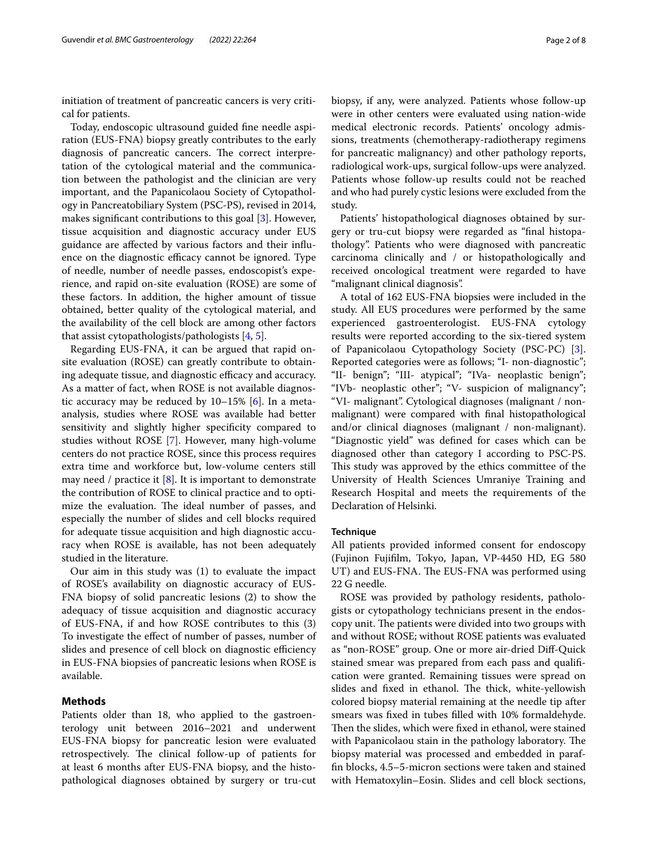initiation of treatment of pancreatic cancers is very critical for patients.

Today, endoscopic ultrasound guided fne needle aspiration (EUS-FNA) biopsy greatly contributes to the early diagnosis of pancreatic cancers. The correct interpretation of the cytological material and the communication between the pathologist and the clinician are very important, and the Papanicolaou Society of Cytopathology in Pancreatobiliary System (PSC-PS), revised in 2014, makes signifcant contributions to this goal [\[3](#page-6-2)]. However, tissue acquisition and diagnostic accuracy under EUS guidance are afected by various factors and their infuence on the diagnostic efficacy cannot be ignored. Type of needle, number of needle passes, endoscopist's experience, and rapid on-site evaluation (ROSE) are some of these factors. In addition, the higher amount of tissue obtained, better quality of the cytological material, and the availability of the cell block are among other factors that assist cytopathologists/pathologists [\[4](#page-6-3), [5\]](#page-6-4).

Regarding EUS-FNA, it can be argued that rapid onsite evaluation (ROSE) can greatly contribute to obtaining adequate tissue, and diagnostic efficacy and accuracy. As a matter of fact, when ROSE is not available diagnostic accuracy may be reduced by 10–15% [\[6](#page-6-5)]. In a metaanalysis, studies where ROSE was available had better sensitivity and slightly higher specifcity compared to studies without ROSE [[7\]](#page-6-6). However, many high-volume centers do not practice ROSE, since this process requires extra time and workforce but, low-volume centers still may need / practice it [[8](#page-6-7)]. It is important to demonstrate the contribution of ROSE to clinical practice and to optimize the evaluation. The ideal number of passes, and especially the number of slides and cell blocks required for adequate tissue acquisition and high diagnostic accuracy when ROSE is available, has not been adequately studied in the literature.

Our aim in this study was (1) to evaluate the impact of ROSE's availability on diagnostic accuracy of EUS-FNA biopsy of solid pancreatic lesions (2) to show the adequacy of tissue acquisition and diagnostic accuracy of EUS-FNA, if and how ROSE contributes to this (3) To investigate the efect of number of passes, number of slides and presence of cell block on diagnostic efficiency in EUS-FNA biopsies of pancreatic lesions when ROSE is available.

## **Methods**

Patients older than 18, who applied to the gastroenterology unit between 2016–2021 and underwent EUS-FNA biopsy for pancreatic lesion were evaluated retrospectively. The clinical follow-up of patients for at least 6 months after EUS-FNA biopsy, and the histopathological diagnoses obtained by surgery or tru-cut biopsy, if any, were analyzed. Patients whose follow-up were in other centers were evaluated using nation-wide medical electronic records. Patients' oncology admissions, treatments (chemotherapy-radiotherapy regimens for pancreatic malignancy) and other pathology reports, radiological work-ups, surgical follow-ups were analyzed. Patients whose follow-up results could not be reached and who had purely cystic lesions were excluded from the study.

Patients' histopathological diagnoses obtained by surgery or tru-cut biopsy were regarded as "fnal histopathology". Patients who were diagnosed with pancreatic carcinoma clinically and / or histopathologically and received oncological treatment were regarded to have "malignant clinical diagnosis".

A total of 162 EUS-FNA biopsies were included in the study. All EUS procedures were performed by the same experienced gastroenterologist. EUS-FNA cytology results were reported according to the six-tiered system of Papanicolaou Cytopathology Society (PSC-PC) [\[3](#page-6-2)]. Reported categories were as follows; "I- non-diagnostic"; "II- benign"; "III- atypical"; "IVa- neoplastic benign"; "IVb- neoplastic other"; "V- suspicion of malignancy"; "VI- malignant". Cytological diagnoses (malignant / nonmalignant) were compared with fnal histopathological and/or clinical diagnoses (malignant / non-malignant). "Diagnostic yield" was defned for cases which can be diagnosed other than category I according to PSC-PS. This study was approved by the ethics committee of the University of Health Sciences Umraniye Training and Research Hospital and meets the requirements of the Declaration of Helsinki.

#### **Technique**

All patients provided informed consent for endoscopy (Fujinon Fujiflm, Tokyo, Japan, VP-4450 HD, EG 580 UT) and EUS-FNA. The EUS-FNA was performed using 22 G needle.

ROSE was provided by pathology residents, pathologists or cytopathology technicians present in the endoscopy unit. The patients were divided into two groups with and without ROSE; without ROSE patients was evaluated as "non-ROSE" group. One or more air-dried Dif-Quick stained smear was prepared from each pass and qualifcation were granted. Remaining tissues were spread on slides and fixed in ethanol. The thick, white-yellowish colored biopsy material remaining at the needle tip after smears was fxed in tubes flled with 10% formaldehyde. Then the slides, which were fixed in ethanol, were stained with Papanicolaou stain in the pathology laboratory. The biopsy material was processed and embedded in paraffn blocks, 4.5–5-micron sections were taken and stained with Hematoxylin–Eosin. Slides and cell block sections,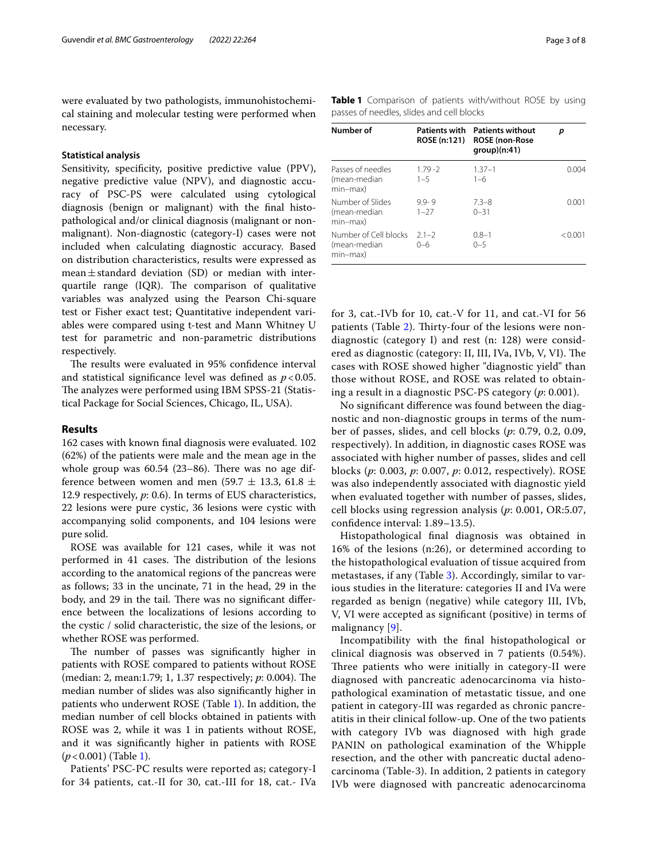were evaluated by two pathologists, immunohistochemical staining and molecular testing were performed when necessary.

#### **Statistical analysis**

Sensitivity, specificity, positive predictive value (PPV), negative predictive value (NPV), and diagnostic accuracy of PSC-PS were calculated using cytological diagnosis (benign or malignant) with the fnal histopathological and/or clinical diagnosis (malignant or nonmalignant). Non-diagnostic (category-I) cases were not included when calculating diagnostic accuracy. Based on distribution characteristics, results were expressed as mean $\pm$ standard deviation (SD) or median with interquartile range  $(IQR)$ . The comparison of qualitative variables was analyzed using the Pearson Chi-square test or Fisher exact test; Quantitative independent variables were compared using t-test and Mann Whitney U test for parametric and non-parametric distributions respectively.

The results were evaluated in 95% confidence interval and statistical signifcance level was defned as *p*<0.05. The analyzes were performed using IBM SPSS-21 (Statistical Package for Social Sciences, Chicago, IL, USA).

#### **Results**

162 cases with known fnal diagnosis were evaluated. 102 (62%) of the patients were male and the mean age in the whole group was  $60.54$  (23-86). There was no age difference between women and men (59.7  $\pm$  13.3, 61.8  $\pm$ 12.9 respectively, *p*: 0.6). In terms of EUS characteristics, 22 lesions were pure cystic, 36 lesions were cystic with accompanying solid components, and 104 lesions were pure solid.

ROSE was available for 121 cases, while it was not performed in 41 cases. The distribution of the lesions according to the anatomical regions of the pancreas were as follows; 33 in the uncinate, 71 in the head, 29 in the body, and 29 in the tail. There was no significant difference between the localizations of lesions according to the cystic / solid characteristic, the size of the lesions, or whether ROSE was performed.

The number of passes was significantly higher in patients with ROSE compared to patients without ROSE (median: 2, mean:1.79; 1, 1.37 respectively; *p*: 0.004). The median number of slides was also signifcantly higher in patients who underwent ROSE (Table [1](#page-2-0)). In addition, the median number of cell blocks obtained in patients with ROSE was 2, while it was 1 in patients without ROSE, and it was signifcantly higher in patients with ROSE (*p*<0.001) (Table [1](#page-2-0)).

Patients' PSC-PC results were reported as; category-I for 34 patients, cat.-II for 30, cat.-III for 18, cat.- IVa <span id="page-2-0"></span>**Table 1** Comparison of patients with/without ROSE by using passes of needles, slides and cell blocks

| Number of                                         | <b>Patients with</b><br>ROSE (n:121) | <b>Patients without</b><br><b>ROSE</b> (non-Rose<br>group)(n:41) | р       |
|---------------------------------------------------|--------------------------------------|------------------------------------------------------------------|---------|
| Passes of needles<br>(mean-median<br>min-max)     | $1.79 - 2$<br>$1 - 5$                | $1.37 - 1$<br>$1 - 6$                                            | N N 04  |
| Number of Slides<br>(mean-median<br>min-max)      | $9.9 - 9$<br>$1 - 27$                | $7.3 - 8$<br>$0 - 31$                                            | 0.001   |
| Number of Cell blocks<br>(mean-median<br>min-max) | $21 - 2$<br>$0 - 6$                  | $0.8 - 1$<br>$0 - 5$                                             | < 0.001 |

for 3, cat.-IVb for 10, cat.-V for 11, and cat.-VI for 56 patients (Table [2](#page-3-0)). Thirty-four of the lesions were nondiagnostic (category I) and rest (n: 128) were considered as diagnostic (category: II, III, IVa, IVb, V, VI). The cases with ROSE showed higher "diagnostic yield" than those without ROSE, and ROSE was related to obtaining a result in a diagnostic PSC-PS category (*p*: 0.001).

No signifcant diference was found between the diagnostic and non-diagnostic groups in terms of the number of passes, slides, and cell blocks (*p*: 0.79, 0.2, 0.09, respectively). In addition, in diagnostic cases ROSE was associated with higher number of passes, slides and cell blocks (*p*: 0.003, *p*: 0.007, *p*: 0.012, respectively). ROSE was also independently associated with diagnostic yield when evaluated together with number of passes, slides, cell blocks using regression analysis (*p*: 0.001, OR:5.07, confdence interval: 1.89–13.5).

Histopathological fnal diagnosis was obtained in 16% of the lesions (n:26), or determined according to the histopathological evaluation of tissue acquired from metastases, if any (Table [3](#page-3-1)). Accordingly, similar to various studies in the literature: categories II and IVa were regarded as benign (negative) while category III, IVb, V, VI were accepted as signifcant (positive) in terms of malignancy [[9](#page-6-8)].

Incompatibility with the fnal histopathological or clinical diagnosis was observed in 7 patients (0.54%). Three patients who were initially in category-II were diagnosed with pancreatic adenocarcinoma via histopathological examination of metastatic tissue, and one patient in category-III was regarded as chronic pancreatitis in their clinical follow-up. One of the two patients with category IVb was diagnosed with high grade PANIN on pathological examination of the Whipple resection, and the other with pancreatic ductal adenocarcinoma (Table-3). In addition, 2 patients in category IVb were diagnosed with pancreatic adenocarcinoma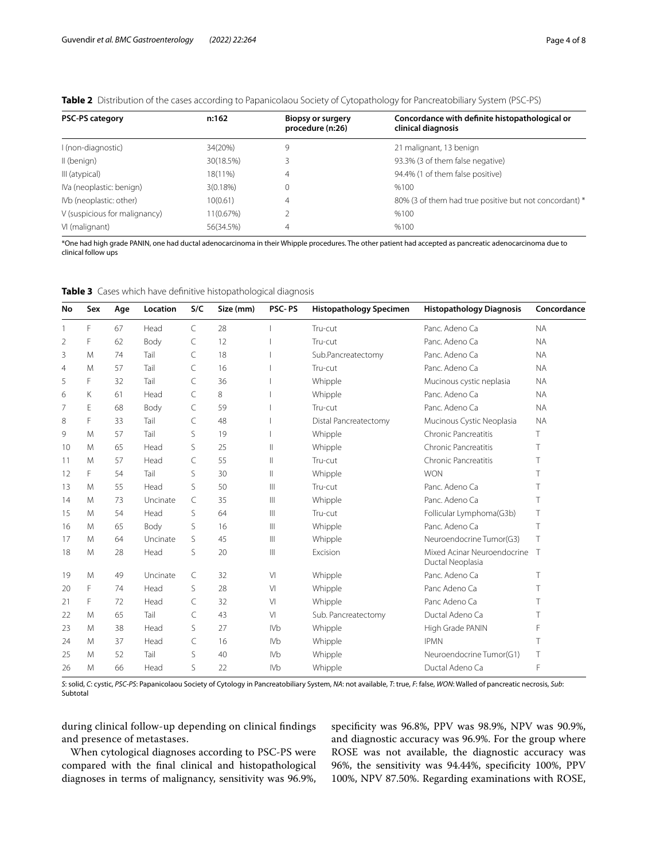<span id="page-3-0"></span>

|  |  |  |  | Table 2 Distribution of the cases according to Papanicolaou Society of Cytopathology for Pancreatobiliary System (PSC-PS) |
|--|--|--|--|---------------------------------------------------------------------------------------------------------------------------|
|  |  |  |  |                                                                                                                           |

| PSC-PS category               | n:162       | Biopsy or surgery<br>procedure (n:26) | Concordance with definite histopathological or<br>clinical diagnosis |
|-------------------------------|-------------|---------------------------------------|----------------------------------------------------------------------|
| I (non-diagnostic)            | 34(20%)     | 9                                     | 21 malignant, 13 benign                                              |
| II (benign)                   | 30(18.5%)   |                                       | 93.3% (3 of them false negative)                                     |
| III (atypical)                | 18(11%)     | 4                                     | 94.4% (1 of them false positive)                                     |
| IVa (neoplastic: benign)      | $3(0.18\%)$ | 0                                     | %100                                                                 |
| IVb (neoplastic: other)       | 10(0.61)    | 4                                     | 80% (3 of them had true positive but not concordant) *               |
| V (suspicious for malignancy) | 11(0.67%)   |                                       | %100                                                                 |
| VI (malignant)                | 56(34.5%)   | 4                                     | %100                                                                 |

\*One had high grade PANIN, one had ductal adenocarcinoma in their Whipple procedures. The other patient had accepted as pancreatic adenocarcinoma due to clinical follow ups

| No             | Sex | Age | Location | S/C | Size (mm) | <b>PSC-PS</b>   | <b>Histopathology Specimen</b> | <b>Histopathology Diagnosis</b>                   | Concordance |
|----------------|-----|-----|----------|-----|-----------|-----------------|--------------------------------|---------------------------------------------------|-------------|
|                | F   | 67  | Head     | C   | 28        |                 | Tru-cut                        | Panc. Adeno Ca                                    | <b>NA</b>   |
| 2              | F   | 62  | Body     | C   | 12        |                 | Tru-cut                        | Panc. Adeno Ca                                    | <b>NA</b>   |
| 3              | M   | 74  | Tail     | C   | 18        |                 | Sub.Pancreatectomy             | Panc. Adeno Ca                                    | <b>NA</b>   |
| $\overline{4}$ | M   | 57  | Tail     | C   | 16        |                 | Tru-cut                        | Panc. Adeno Ca                                    | <b>NA</b>   |
| 5              | F   | 32  | Tail     | C   | 36        |                 | Whipple                        | Mucinous cystic neplasia                          | <b>NA</b>   |
| 6              | Κ   | 61  | Head     | C   | 8         |                 | Whipple                        | Panc. Adeno Ca                                    | <b>NA</b>   |
| 7              | E   | 68  | Body     | C   | 59        |                 | Tru-cut                        | Panc. Adeno Ca                                    | <b>NA</b>   |
| 8              | F   | 33  | Tail     | C   | 48        |                 | <b>Distal Pancreatectomy</b>   | Mucinous Cystic Neoplasia                         | <b>NA</b>   |
| 9              | M   | 57  | Tail     | S   | 19        |                 | Whipple                        | Chronic Pancreatitis                              | Τ           |
| 10             | M   | 65  | Head     | S   | 25        | Ш               | Whipple                        | Chronic Pancreatitis                              | T           |
| 11             | M   | 57  | Head     | C   | 55        | $\parallel$     | Tru-cut                        | Chronic Pancreatitis                              | Τ           |
| 12             | F   | 54  | Tail     | S   | 30        | $\parallel$     | Whipple                        | <b>WON</b>                                        | Τ           |
| 13             | M   | 55  | Head     | S   | 50        | $\mathbb{H}$    | Tru-cut                        | Panc. Adeno Ca                                    | T           |
| 14             | M   | 73  | Uncinate | C   | 35        | $\  \ ^2$       | Whipple                        | Panc. Adeno Ca                                    | T           |
| 15             | M   | 54  | Head     | S   | 64        | $\  \ $         | Tru-cut                        | Follicular Lymphoma(G3b)                          | Τ           |
| 16             | M   | 65  | Body     | S   | 16        | $\  \ ^2$       | Whipple                        | Panc. Adeno Ca                                    | T           |
| 17             | M   | 64  | Uncinate | S   | 45        | $\  \ ^2$       | Whipple                        | Neuroendocrine Tumor(G3)                          | T           |
| 18             | M   | 28  | Head     | S   | 20        | $\  \ $         | Excision                       | Mixed Acinar Neuroendocrine T<br>Ductal Neoplasia |             |
| 19             | M   | 49  | Uncinate | C   | 32        | V <sub>1</sub>  | Whipple                        | Panc. Adeno Ca                                    | Τ           |
| 20             | F   | 74  | Head     | S   | 28        | V <sub>1</sub>  | Whipple                        | Panc Adeno Ca                                     | Τ           |
| 21             | F   | 72  | Head     | C   | 32        | V <sub>l</sub>  | Whipple                        | Panc Adeno Ca                                     | T           |
| 22             | M   | 65  | Tail     | C   | 43        | V <sub>1</sub>  | Sub. Pancreatectomy            | Ductal Adeno Ca                                   | T           |
| 23             | M   | 38  | Head     | S   | 27        | IV <sub>b</sub> | Whipple                        | High Grade PANIN                                  | F           |
| 24             | M   | 37  | Head     | C   | 16        | IV <sub>b</sub> | Whipple                        | <b>IPMN</b>                                       | T           |
| 25             | M   | 52  | Tail     | S   | 40        | <b>IVb</b>      | Whipple                        | Neuroendocrine Tumor(G1)                          | Τ           |
| 26             | M   | 66  | Head     | S   | 22        | IV <sub>b</sub> | Whipple                        | Ductal Adeno Ca                                   | F           |

<span id="page-3-1"></span>**Table 3** Cases which have defnitive histopathological diagnosis

*S*: solid, *C*: cystic, *PSC-PS*: Papanicolaou Society of Cytology in Pancreatobiliary System, *NA*: not available, *T*: true, *F*: false, *WON*: Walled of pancreatic necrosis, *Sub*: Subtotal

during clinical follow-up depending on clinical fndings and presence of metastases.

When cytological diagnoses according to PSC-PS were compared with the fnal clinical and histopathological diagnoses in terms of malignancy, sensitivity was 96.9%, specifcity was 96.8%, PPV was 98.9%, NPV was 90.9%, and diagnostic accuracy was 96.9%. For the group where ROSE was not available, the diagnostic accuracy was 96%, the sensitivity was 94.44%, specifcity 100%, PPV 100%, NPV 87.50%. Regarding examinations with ROSE,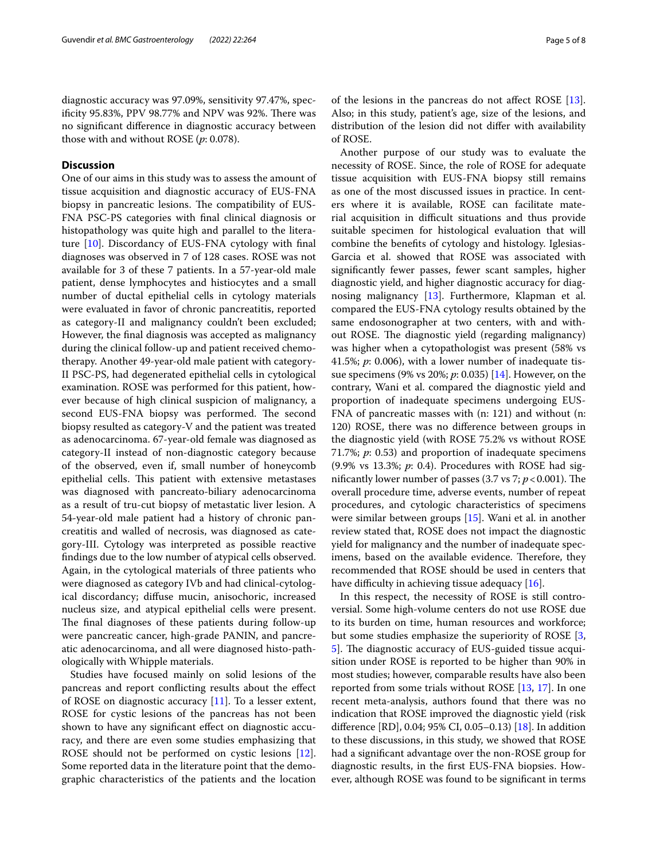### **Discussion**

One of our aims in this study was to assess the amount of tissue acquisition and diagnostic accuracy of EUS-FNA biopsy in pancreatic lesions. The compatibility of EUS-FNA PSC-PS categories with fnal clinical diagnosis or histopathology was quite high and parallel to the literature [\[10](#page-6-9)]. Discordancy of EUS-FNA cytology with fnal diagnoses was observed in 7 of 128 cases. ROSE was not available for 3 of these 7 patients. In a 57-year-old male patient, dense lymphocytes and histiocytes and a small number of ductal epithelial cells in cytology materials were evaluated in favor of chronic pancreatitis, reported as category-II and malignancy couldn't been excluded; However, the fnal diagnosis was accepted as malignancy during the clinical follow-up and patient received chemotherapy. Another 49-year-old male patient with category-II PSC-PS, had degenerated epithelial cells in cytological examination. ROSE was performed for this patient, however because of high clinical suspicion of malignancy, a second EUS-FNA biopsy was performed. The second biopsy resulted as category-V and the patient was treated as adenocarcinoma. 67-year-old female was diagnosed as category-II instead of non-diagnostic category because of the observed, even if, small number of honeycomb epithelial cells. This patient with extensive metastases was diagnosed with pancreato-biliary adenocarcinoma as a result of tru-cut biopsy of metastatic liver lesion. A 54-year-old male patient had a history of chronic pancreatitis and walled of necrosis, was diagnosed as category-III. Cytology was interpreted as possible reactive fndings due to the low number of atypical cells observed. Again, in the cytological materials of three patients who were diagnosed as category IVb and had clinical-cytological discordancy; difuse mucin, anisochoric, increased nucleus size, and atypical epithelial cells were present. The final diagnoses of these patients during follow-up were pancreatic cancer, high-grade PANIN, and pancreatic adenocarcinoma, and all were diagnosed histo-pathologically with Whipple materials.

Studies have focused mainly on solid lesions of the pancreas and report conficting results about the efect of ROSE on diagnostic accuracy [[11\]](#page-6-10). To a lesser extent, ROSE for cystic lesions of the pancreas has not been shown to have any signifcant efect on diagnostic accuracy, and there are even some studies emphasizing that ROSE should not be performed on cystic lesions [\[12](#page-6-11)]. Some reported data in the literature point that the demographic characteristics of the patients and the location of the lesions in the pancreas do not afect ROSE [\[13](#page-6-12)]. Also; in this study, patient's age, size of the lesions, and distribution of the lesion did not difer with availability of ROSE.

Another purpose of our study was to evaluate the necessity of ROSE. Since, the role of ROSE for adequate tissue acquisition with EUS-FNA biopsy still remains as one of the most discussed issues in practice. In centers where it is available, ROSE can facilitate material acquisition in difficult situations and thus provide suitable specimen for histological evaluation that will combine the benefts of cytology and histology. Iglesias-Garcia et al. showed that ROSE was associated with signifcantly fewer passes, fewer scant samples, higher diagnostic yield, and higher diagnostic accuracy for diagnosing malignancy [\[13\]](#page-6-12). Furthermore, Klapman et al. compared the EUS-FNA cytology results obtained by the same endosonographer at two centers, with and without ROSE. The diagnostic yield (regarding malignancy) was higher when a cytopathologist was present (58% vs 41.5%; *p*: 0.006), with a lower number of inadequate tissue specimens (9% vs 20%; *p*: 0.035) [[14](#page-6-13)]. However, on the contrary, Wani et al. compared the diagnostic yield and proportion of inadequate specimens undergoing EUS-FNA of pancreatic masses with (n: 121) and without (n: 120) ROSE, there was no diference between groups in the diagnostic yield (with ROSE 75.2% vs without ROSE 71.7%; *p*: 0.53) and proportion of inadequate specimens (9.9% vs 13.3%; *p*: 0.4). Procedures with ROSE had significantly lower number of passes  $(3.7 \text{ vs } 7; p < 0.001)$ . The overall procedure time, adverse events, number of repeat procedures, and cytologic characteristics of specimens were similar between groups [[15\]](#page-6-14). Wani et al. in another review stated that, ROSE does not impact the diagnostic yield for malignancy and the number of inadequate specimens, based on the available evidence. Therefore, they recommended that ROSE should be used in centers that have difficulty in achieving tissue adequacy  $[16]$  $[16]$  $[16]$ .

In this respect, the necessity of ROSE is still controversial. Some high-volume centers do not use ROSE due to its burden on time, human resources and workforce; but some studies emphasize the superiority of ROSE [\[3](#page-6-2), [5\]](#page-6-4). The diagnostic accuracy of EUS-guided tissue acquisition under ROSE is reported to be higher than 90% in most studies; however, comparable results have also been reported from some trials without ROSE [\[13,](#page-6-12) [17\]](#page-7-1). In one recent meta-analysis, authors found that there was no indication that ROSE improved the diagnostic yield (risk diference [RD], 0.04; 95% CI, 0.05–0.13) [[18\]](#page-7-2). In addition to these discussions, in this study, we showed that ROSE had a signifcant advantage over the non-ROSE group for diagnostic results, in the frst EUS-FNA biopsies. However, although ROSE was found to be signifcant in terms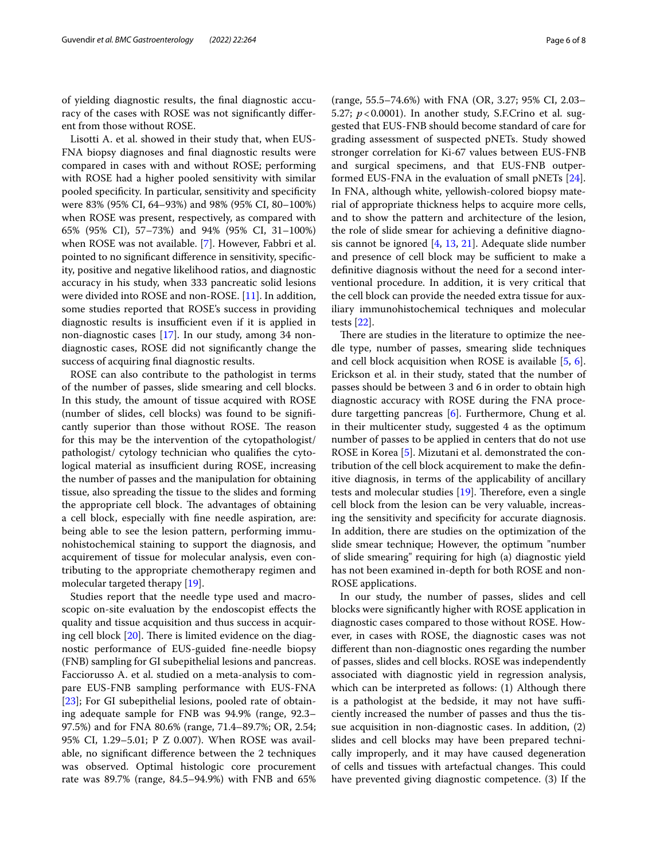of yielding diagnostic results, the fnal diagnostic accuracy of the cases with ROSE was not signifcantly diferent from those without ROSE.

Lisotti A. et al. showed in their study that, when EUS-FNA biopsy diagnoses and fnal diagnostic results were compared in cases with and without ROSE; performing with ROSE had a higher pooled sensitivity with similar pooled specifcity. In particular, sensitivity and specifcity were 83% (95% CI, 64–93%) and 98% (95% CI, 80–100%) when ROSE was present, respectively, as compared with 65% (95% CI), 57–73%) and 94% (95% CI, 31–100%) when ROSE was not available. [\[7](#page-6-6)]. However, Fabbri et al. pointed to no signifcant diference in sensitivity, specifcity, positive and negative likelihood ratios, and diagnostic accuracy in his study, when 333 pancreatic solid lesions were divided into ROSE and non-ROSE. [[11](#page-6-10)]. In addition, some studies reported that ROSE's success in providing diagnostic results is insufficient even if it is applied in non-diagnostic cases [[17\]](#page-7-1). In our study, among 34 nondiagnostic cases, ROSE did not signifcantly change the success of acquiring fnal diagnostic results.

ROSE can also contribute to the pathologist in terms of the number of passes, slide smearing and cell blocks. In this study, the amount of tissue acquired with ROSE (number of slides, cell blocks) was found to be signifcantly superior than those without ROSE. The reason for this may be the intervention of the cytopathologist/ pathologist/ cytology technician who qualifes the cytological material as insufficient during ROSE, increasing the number of passes and the manipulation for obtaining tissue, also spreading the tissue to the slides and forming the appropriate cell block. The advantages of obtaining a cell block, especially with fne needle aspiration, are: being able to see the lesion pattern, performing immunohistochemical staining to support the diagnosis, and acquirement of tissue for molecular analysis, even contributing to the appropriate chemotherapy regimen and molecular targeted therapy [[19](#page-7-3)].

Studies report that the needle type used and macroscopic on-site evaluation by the endoscopist efects the quality and tissue acquisition and thus success in acquiring cell block  $[20]$  $[20]$ . There is limited evidence on the diagnostic performance of EUS-guided fne-needle biopsy (FNB) sampling for GI subepithelial lesions and pancreas. Facciorusso A. et al. studied on a meta-analysis to compare EUS-FNB sampling performance with EUS-FNA [[23\]](#page-7-5); For GI subepithelial lesions, pooled rate of obtaining adequate sample for FNB was 94.9% (range, 92.3– 97.5%) and for FNA 80.6% (range, 71.4–89.7%; OR, 2.54; 95% CI, 1.29–5.01; P Z 0.007). When ROSE was available, no signifcant diference between the 2 techniques was observed. Optimal histologic core procurement rate was 89.7% (range, 84.5–94.9%) with FNB and 65% (range, 55.5–74.6%) with FNA (OR, 3.27; 95% CI, 2.03– 5.27; *p*<0.0001). In another study, S.F.Crino et al. suggested that EUS-FNB should become standard of care for grading assessment of suspected pNETs. Study showed stronger correlation for Ki-67 values between EUS-FNB and surgical specimens, and that EUS-FNB outperformed EUS-FNA in the evaluation of small pNETs [\[24](#page-7-6)]. In FNA, although white, yellowish-colored biopsy material of appropriate thickness helps to acquire more cells, and to show the pattern and architecture of the lesion, the role of slide smear for achieving a defnitive diagnosis cannot be ignored [\[4](#page-6-3), [13](#page-6-12), [21](#page-7-7)]. Adequate slide number and presence of cell block may be sufficient to make a defnitive diagnosis without the need for a second interventional procedure. In addition, it is very critical that the cell block can provide the needed extra tissue for auxiliary immunohistochemical techniques and molecular tests [[22\]](#page-7-8).

There are studies in the literature to optimize the needle type, number of passes, smearing slide techniques and cell block acquisition when ROSE is available [[5,](#page-6-4) [6](#page-6-5)]. Erickson et al. in their study, stated that the number of passes should be between 3 and 6 in order to obtain high diagnostic accuracy with ROSE during the FNA procedure targetting pancreas [\[6\]](#page-6-5). Furthermore, Chung et al. in their multicenter study, suggested 4 as the optimum number of passes to be applied in centers that do not use ROSE in Korea [[5](#page-6-4)]. Mizutani et al. demonstrated the contribution of the cell block acquirement to make the defnitive diagnosis, in terms of the applicability of ancillary tests and molecular studies  $[19]$  $[19]$ . Therefore, even a single cell block from the lesion can be very valuable, increasing the sensitivity and specifcity for accurate diagnosis. In addition, there are studies on the optimization of the slide smear technique; However, the optimum "number of slide smearing" requiring for high (a) diagnostic yield has not been examined in-depth for both ROSE and non-ROSE applications.

In our study, the number of passes, slides and cell blocks were signifcantly higher with ROSE application in diagnostic cases compared to those without ROSE. However, in cases with ROSE, the diagnostic cases was not diferent than non-diagnostic ones regarding the number of passes, slides and cell blocks. ROSE was independently associated with diagnostic yield in regression analysis, which can be interpreted as follows: (1) Although there is a pathologist at the bedside, it may not have sufficiently increased the number of passes and thus the tissue acquisition in non-diagnostic cases. In addition, (2) slides and cell blocks may have been prepared technically improperly, and it may have caused degeneration of cells and tissues with artefactual changes. This could have prevented giving diagnostic competence. (3) If the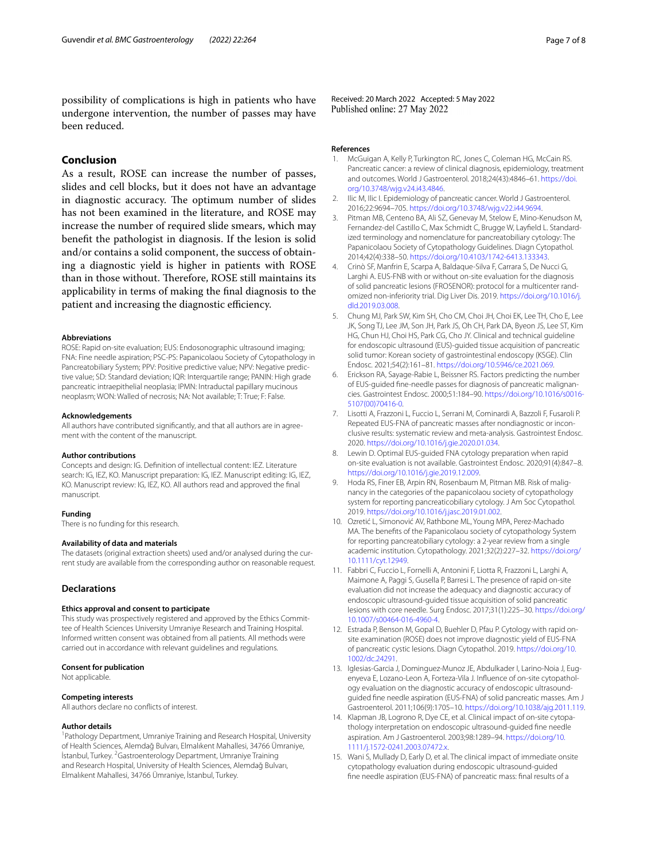possibility of complications is high in patients who have undergone intervention, the number of passes may have been reduced.

## **Conclusion**

As a result, ROSE can increase the number of passes, slides and cell blocks, but it does not have an advantage in diagnostic accuracy. The optimum number of slides has not been examined in the literature, and ROSE may increase the number of required slide smears, which may beneft the pathologist in diagnosis. If the lesion is solid and/or contains a solid component, the success of obtaining a diagnostic yield is higher in patients with ROSE than in those without. Therefore, ROSE still maintains its applicability in terms of making the fnal diagnosis to the patient and increasing the diagnostic efficiency.

#### **Abbreviations**

ROSE: Rapid on-site evaluation; EUS: Endosonographic ultrasound imaging; FNA: Fine needle aspiration; PSC-PS: Papanicolaou Society of Cytopathology in Pancreatobiliary System; PPV: Positive predictive value; NPV: Negative predictive value; SD: Standard deviation; IQR: Interquartile range; PANIN: High grade pancreatic intraepithelial neoplasia; IPMN: Intraductal papillary mucinous neoplasm; WON: Walled of necrosis; NA: Not available; T: True; F: False.

#### **Acknowledgements**

All authors have contributed significantly, and that all authors are in agreement with the content of the manuscript.

#### **Author contributions**

Concepts and design: IG. Defnition of intellectual content: IEZ. Literature search: IG, IEZ, KO. Manuscript preparation: IG, IEZ. Manuscript editing: IG, IEZ, KO. Manuscript review: IG, IEZ, KO. All authors read and approved the fnal manuscript.

#### **Funding**

There is no funding for this research.

#### **Availability of data and materials**

The datasets (original extraction sheets) used and/or analysed during the current study are available from the corresponding author on reasonable request.

#### **Declarations**

#### **Ethics approval and consent to participate**

This study was prospectively registered and approved by the Ethics Committee of Health Sciences University Umraniye Research and Training Hospital. Informed written consent was obtained from all patients. All methods were carried out in accordance with relevant guidelines and regulations.

#### **Consent for publication**

Not applicable.

#### **Competing interests**

All authors declare no conficts of interest.

#### **Author details**

<sup>1</sup> Pathology Department, Umraniye Training and Research Hospital, University of Health Sciences, Alemdağ Bulvarı, Elmalıkent Mahallesi, 34766 Ümraniye, İstanbul, Turkey. <sup>2</sup> Gastroenterology Department, Umraniye Training and Research Hospital, University of Health Sciences, Alemdağ Bulvarı, Elmalıkent Mahallesi, 34766 Ümraniye, İstanbul, Turkey.

Received: 20 March 2022 Accepted: 5 May 2022<br>Published online: 27 May 2022

#### **References**

- <span id="page-6-0"></span>1. McGuigan A, Kelly P, Turkington RC, Jones C, Coleman HG, McCain RS. Pancreatic cancer: a review of clinical diagnosis, epidemiology, treatment and outcomes. World J Gastroenterol. 2018;24(43):4846–61. [https://doi.](https://doi.org/10.3748/wjg.v24.i43.4846) [org/10.3748/wjg.v24.i43.4846.](https://doi.org/10.3748/wjg.v24.i43.4846)
- <span id="page-6-1"></span>2. Ilic M, Ilic I. Epidemiology of pancreatic cancer. World J Gastroenterol. 2016;22:9694–705. [https://doi.org/10.3748/wjg.v22.i44.9694.](https://doi.org/10.3748/wjg.v22.i44.9694)
- <span id="page-6-2"></span>3. Pitman MB, Centeno BA, Ali SZ, Genevay M, Stelow E, Mino-Kenudson M, Fernandez-del Castillo C, Max Schmidt C, Brugge W, Layfeld L. Standardized terminology and nomenclature for pancreatobiliary cytology: The Papanicolaou Society of Cytopathology Guidelines. Diagn Cytopathol. 2014;42(4):338–50. [https://doi.org/10.4103/1742-6413.133343.](https://doi.org/10.4103/1742-6413.133343)
- <span id="page-6-3"></span>4. Crinò SF, Manfrin E, Scarpa A, Baldaque-Silva F, Carrara S, De Nucci G, Larghi A. EUS-FNB with or without on-site evaluation for the diagnosis of solid pancreatic lesions (FROSENOR): protocol for a multicenter randomized non-inferiority trial. Dig Liver Dis. 2019. [https://doi.org/10.1016/j.](https://doi.org/10.1016/j.dld.2019.03.008) [dld.2019.03.008](https://doi.org/10.1016/j.dld.2019.03.008).
- <span id="page-6-4"></span>5. Chung MJ, Park SW, Kim SH, Cho CM, Choi JH, Choi EK, Lee TH, Cho E, Lee JK, Song TJ, Lee JM, Son JH, Park JS, Oh CH, Park DA, Byeon JS, Lee ST, Kim HG, Chun HJ, Choi HS, Park CG, Cho JY. Clinical and technical guideline for endoscopic ultrasound (EUS)-guided tissue acquisition of pancreatic solid tumor: Korean society of gastrointestinal endoscopy (KSGE). Clin Endosc. 2021;54(2):161–81. [https://doi.org/10.5946/ce.2021.069.](https://doi.org/10.5946/ce.2021.069)
- <span id="page-6-5"></span>6. Erickson RA, Sayage-Rabie L, Beissner RS. Factors predicting the number of EUS-guided fne-needle passes for diagnosis of pancreatic malignancies. Gastrointest Endosc. 2000;51:184–90. [https://doi.org/10.1016/s0016-](https://doi.org/10.1016/s0016-5107(00)70416-0) [5107\(00\)70416-0.](https://doi.org/10.1016/s0016-5107(00)70416-0)
- <span id="page-6-6"></span>7. Lisotti A, Frazzoni L, Fuccio L, Serrani M, Cominardi A, Bazzoli F, Fusaroli P. Repeated EUS-FNA of pancreatic masses after nondiagnostic or inconclusive results: systematic review and meta-analysis. Gastrointest Endosc. 2020. [https://doi.org/10.1016/j.gie.2020.01.034.](https://doi.org/10.1016/j.gie.2020.01.034)
- <span id="page-6-7"></span>8. Lewin D. Optimal EUS-guided FNA cytology preparation when rapid on-site evaluation is not available. Gastrointest Endosc. 2020;91(4):847–8. <https://doi.org/10.1016/j.gie.2019.12.009>.
- <span id="page-6-8"></span>Hoda RS, Finer EB, Arpin RN, Rosenbaum M, Pitman MB. Risk of malignancy in the categories of the papanicolaou society of cytopathology system for reporting pancreaticobiliary cytology. J Am Soc Cytopathol. 2019. [https://doi.org/10.1016/j.jasc.2019.01.002.](https://doi.org/10.1016/j.jasc.2019.01.002)
- <span id="page-6-9"></span>10. Ozretić L, Simonović AV, Rathbone ML, Young MPA, Perez-Machado MA. The benefts of the Papanicolaou society of cytopathology System for reporting pancreatobiliary cytology: a 2-year review from a single academic institution. Cytopathology. 2021;32(2):227–32. [https://doi.org/](https://doi.org/10.1111/cyt.12949) [10.1111/cyt.12949](https://doi.org/10.1111/cyt.12949).
- <span id="page-6-10"></span>11. Fabbri C, Fuccio L, Fornelli A, Antonini F, Liotta R, Frazzoni L, Larghi A, Maimone A, Paggi S, Gusella P, Barresi L. The presence of rapid on-site evaluation did not increase the adequacy and diagnostic accuracy of endoscopic ultrasound-guided tissue acquisition of solid pancreatic lesions with core needle. Surg Endosc. 2017;31(1):225–30. [https://doi.org/](https://doi.org/10.1007/s00464-016-4960-4) [10.1007/s00464-016-4960-4.](https://doi.org/10.1007/s00464-016-4960-4)
- <span id="page-6-11"></span>12. Estrada P, Benson M, Gopal D, Buehler D, Pfau P. Cytology with rapid onsite examination (ROSE) does not improve diagnostic yield of EUS-FNA of pancreatic cystic lesions. Diagn Cytopathol. 2019. [https://doi.org/10.](https://doi.org/10.1002/dc.24291) [1002/dc.24291.](https://doi.org/10.1002/dc.24291)
- <span id="page-6-12"></span>13. Iglesias-Garcia J, Dominguez-Munoz JE, Abdulkader I, Larino-Noia J, Eugenyeva E, Lozano-Leon A, Forteza-Vila J. Infuence of on-site cytopathology evaluation on the diagnostic accuracy of endoscopic ultrasoundguided fne needle aspiration (EUS-FNA) of solid pancreatic masses. Am J Gastroenterol. 2011;106(9):1705–10. [https://doi.org/10.1038/ajg.2011.119.](https://doi.org/10.1038/ajg.2011.119)
- <span id="page-6-13"></span>14. Klapman JB, Logrono R, Dye CE, et al. Clinical impact of on-site cytopathology interpretation on endoscopic ultrasound-guided fne needle aspiration. Am J Gastroenterol. 2003;98:1289–94. [https://doi.org/10.](https://doi.org/10.1111/j.1572-0241.2003.07472.x) [1111/j.1572-0241.2003.07472.x](https://doi.org/10.1111/j.1572-0241.2003.07472.x).
- <span id="page-6-14"></span>15. Wani S, Mullady D, Early D, et al. The clinical impact of immediate onsite cytopathology evaluation during endoscopic ultrasound-guided fne needle aspiration (EUS-FNA) of pancreatic mass: fnal results of a